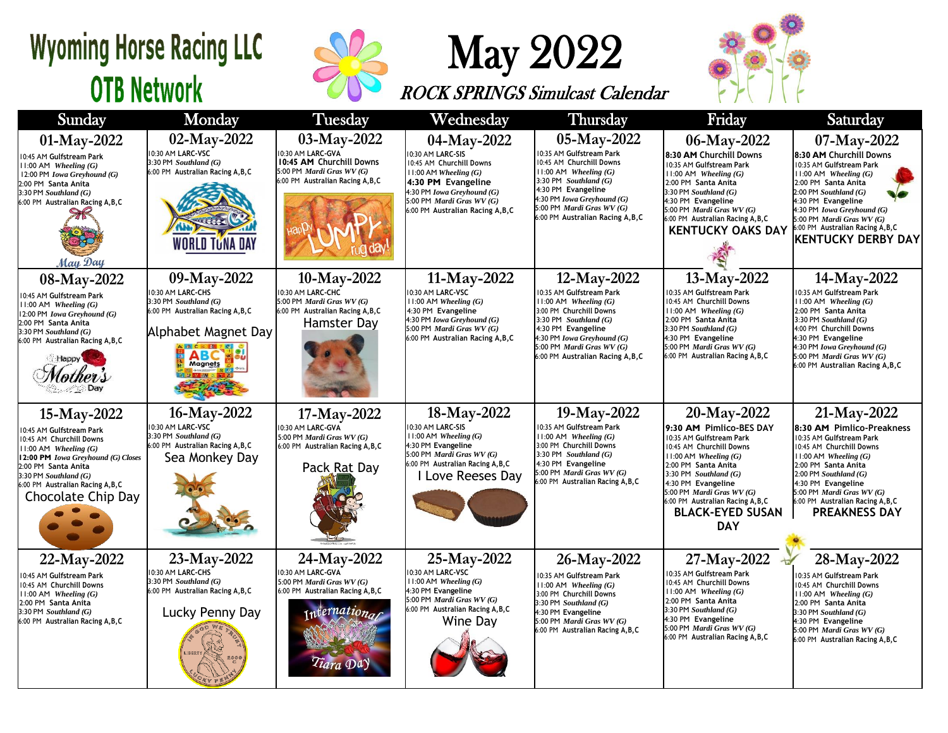## **Wyoming Horse Racing LLC OTB Network**



## May 2022

ROCK SPRINGS Simulcast Calendar



| Sunday                                                                                                                                                                                                                                                | Monday                                                                                                                           | Tuesday                                                                                                                        | Wednesday                                                                                                                                                                                                   | <b>Thursday</b>                                                                                                                                                                                                                                 | Friday                                                                                                                                                                                                                                                                                                         | Saturday                                                                                                                                                                                                                                                                                               |
|-------------------------------------------------------------------------------------------------------------------------------------------------------------------------------------------------------------------------------------------------------|----------------------------------------------------------------------------------------------------------------------------------|--------------------------------------------------------------------------------------------------------------------------------|-------------------------------------------------------------------------------------------------------------------------------------------------------------------------------------------------------------|-------------------------------------------------------------------------------------------------------------------------------------------------------------------------------------------------------------------------------------------------|----------------------------------------------------------------------------------------------------------------------------------------------------------------------------------------------------------------------------------------------------------------------------------------------------------------|--------------------------------------------------------------------------------------------------------------------------------------------------------------------------------------------------------------------------------------------------------------------------------------------------------|
| 01-May-2022<br>10:45 AM Gulfstream Park<br>$11:00$ AM Wheeling $(G)$<br>12:00 PM Iowa Greyhound (G)<br>2:00 PM Santa Anita<br>$3:30$ PM Southland $(G)$<br>6:00 PM Australian Racing A, B, C<br>May Day                                               | 02-May-2022<br>10:30 AM LARC-VSC<br>3:30 PM Southland (G)<br>6:00 PM Australian Racing A, B, C<br><b>WORLD TUNA DAY</b>          | 03-May-2022<br>10:30 AM LARC-GVA<br>10:45 AM Churchill Downs<br>5:00 PM Mardi Gras WV (G)<br>6:00 PM Australian Racing A, B, C | 04-May-2022<br>0:30 AM LARC-SIS<br>0:45 AM Churchill Downs<br>$11:00$ AM Wheeling $(G)$<br>4:30 PM Evangeline<br>4:30 PM Iowa Greyhound (G)<br>5:00 PM Mardi Gras WV (G)<br>6:00 PM Australian Racing A,B,C | 05-May-2022<br>10:35 AM Gulfstream Park<br>10:45 AM Churchill Downs<br>$11:00$ AM Wheeling $(G)$<br>3:30 PM Southland $(G)$<br>4:30 PM Evangeline<br>4:30 PM Iowa Greyhound (G)<br>5:00 PM Mardi Gras WV (G)<br>6:00 PM Australian Racing A,B,C | 06-May-2022<br>8:30 AM Churchill Downs<br>10:35 AM Gulfstream Park<br>$11:00$ AM Wheeling $(G)$<br>2:00 PM Santa Anita<br>$3:30$ PM Southland $(G)$<br>4:30 PM Evangeline<br>5:00 PM Mardi Gras WV (G)<br>6:00 PM Australian Racing A, B, C<br><b>KENTUCKY OAKS DAY</b>                                        | 07-May-2022<br>8:30 AM Churchill Downs<br>10:35 AM Gulfstream Park<br>$11:00$ AM Wheeling $(G)$<br>2:00 PM Santa Anita<br>$2:00$ PM Southland $(G)$<br>4:30 PM Evangeline<br>4:30 PM Iowa Greyhound (G)<br>5:00 PM Mardi Gras WV (G)<br>6:00 PM Australian Racing A, B, C<br><b>KENTUCKY DERBY DAY</b> |
| 08-May-2022<br>10:45 AM Gulfstream Park<br>$11:00$ AM Wheeling $(G)$<br>12:00 PM Iowa Greyhound (G)<br>2:00 PM Santa Anita<br>$3:30$ PM Southland $(G)$<br>6:00 PM Australian Racing A, B, C<br>Happy                                                 | 09-May-2022<br>10:30 AM LARC-CHS<br>3:30 PM Southland (G)<br>6:00 PM Australian Racing A, B, C<br>Alphabet Magnet Day<br>Magnets | 10-May-2022<br>10:30 AM LARC-CHC<br>5:00 PM Mardi Gras WV (G)<br>6:00 PM Australian Racing A, B, C<br>Hamster Day              | 11-May-2022<br>0:30 AM LARC-VSC<br>$11:00$ AM Wheeling $(G)$<br>4:30 PM Evangeline<br>4:30 PM Iowa Greyhound (G)<br>5:00 PM Mardi Gras WV (G)<br>6:00 PM Australian Racing A, B, C                          | 12-May-2022<br>10:35 AM Gulfstream Park<br>$11:00$ AM Wheeling $(G)$<br>3:00 PM Churchill Downs<br>3:30 PM $Southland(G)$<br>4:30 PM Evangeline<br>4:30 PM Iowa Greyhound (G)<br>5:00 PM Mardi Gras WV (G)<br>6:00 PM Australian Racing A, B, C | 13-May-2022<br>10:35 AM Gulfstream Park<br>0:45 AM Churchill Downs<br>$11:00$ AM Wheeling $(G)$<br>2:00 PM Santa Anita<br>$3:30$ PM Southland $(G)$<br>4:30 PM Evangeline<br>5:00 PM Mardi Gras WV (G)<br>6:00 PM Australian Racing A, B, C                                                                    | 14-May-2022<br>10:35 AM Gulfstream Park<br>$11:00$ AM Wheeling $(G)$<br>2:00 PM Santa Anita<br>3:30 PM Southland $(G)$<br>4:00 PM Churchill Downs<br>4:30 PM Evangeline<br>4:30 PM Iowa Greyhound (G)<br>5:00 PM <i>Mardi Gras WV</i> $(G)$<br>6:00 PM Australian Racing A, B, C                       |
| 15-May-2022<br>10:45 AM Gulfstream Park<br>10:45 AM Churchill Downs<br>$11:00$ AM Wheeling $(G)$<br>12:00 PM Iowa Greyhound (G) Closes<br>2:00 PM Santa Anita<br>$3:30$ PM Southland $(G)$<br>6:00 PM Australian Racing A, B, C<br>Chocolate Chip Day | 16-May-2022<br>10:30 AM LARC-VSC<br>3:30 PM Southland (G)<br>6:00 PM Australian Racing A, B, C<br>Sea Monkey Day                 | 17-May-2022<br>10:30 AM LARC-GVA<br>5:00 PM Mardi Gras WV (G)<br>6:00 PM Australian Racing A, B, C<br>Pack Rat Day             | 18-May-2022<br>0:30 AM LARC-SIS<br>$11:00$ AM Wheeling $(G)$<br>4:30 PM Evangeline<br>5:00 PM Mardi Gras WV (G)<br>6:00 PM Australian Racing A, B, C<br>Love Reeses Day                                     | 19-May-2022<br>10:35 AM Gulfstream Park<br>$11:00$ AM Wheeling $(G)$<br>3:00 PM Churchill Downs<br>3:30 PM Southland $(G)$<br>4:30 PM Evangeline<br>5:00 PM Mardi Gras WV (G)<br>6:00 PM Australian Racing A, B, C                              | 20-May-2022<br>9:30 AM Pimlico-BES DAY<br>10:35 AM Gulfstream Park<br>10:45 AM Churchill Downs<br>$11:00$ AM Wheeling $(G)$<br>2:00 PM Santa Anita<br>3:30 PM Southland $(G)$<br>4:30 PM Evangeline<br>5:00 PM Mardi Gras WV (G)<br>6:00 PM Australian Racing A, B, C<br><b>BLACK-EYED SUSAN</b><br><b>DAY</b> | 21-May-2022<br>8:30 AM Pimlico-Preakness<br>10:35 AM Gulfstream Park<br>10:45 AM Churchill Downs<br>$11:00$ AM Wheeling $(G)$<br>2:00 PM Santa Anita<br>$2:00$ PM Southland $(G)$<br>4:30 PM Evangeline<br>5:00 PM Mardi Gras WV (G)<br>6:00 PM Australian Racing A, B, C<br><b>PREAKNESS DAY</b>      |
| 22-May-2022<br>10:45 AM Gulfstream Park<br>10:45 AM Churchill Downs<br>$11:00$ AM Wheeling $(G)$<br>2:00 PM Santa Anita<br>3:30 PM Southland (G)<br>6:00 PM Australian Racing A, B, C                                                                 | 23-May-2022<br>10:30 AM LARC-CHS<br>3:30 PM Southland (G)<br>6:00 PM Australian Racing A, B, C<br>Lucky Penny Day                | 24-May-2022<br>10:30 AM LARC-GVA<br>5:00 PM Mardi Gras WV (G)<br>6:00 PM Australian Racing A, B, C<br>ternational<br>Tiara Da  | 25-May-2022<br>0:30 AM LARC-VSC<br>$11:00$ AM Wheeling $(G)$<br>4:30 PM Evangeline<br>5:00 PM Mardi Gras WV (G)<br>6:00 PM Australian Racing A, B, C<br>Wine Day                                            | 26-May-2022<br>10:35 AM Gulfstream Park<br>$11:00$ AM Wheeling $(G)$<br>3:00 PM Churchill Downs<br>3:30 PM Southland $(G)$<br>4:30 PM Evangeline<br>5:00 PM Mardi Gras WV (G)<br>6:00 PM Australian Racing A, B, C                              | 27-May-2022<br>0:35 AM Gulfstream Park<br>0:45 AM Churchill Downs<br>$11:00$ AM Wheeling $(G)$<br>2:00 PM Santa Anita<br>$3:30$ PM Southland $(G)$<br>4:30 PM Evangeline<br>5:00 PM Mardi Gras WV (G)<br>6:00 PM Australian Racing A, B, C                                                                     | 28-May-2022<br>10:35 AM Gulfstream Park<br>10:45 AM Churchill Downs<br>$11:00$ AM Wheeling $(G)$<br>2:00 PM Santa Anita<br>3:30 PM Southland (G)<br>4:30 PM Evangeline<br>5:00 PM Mardi Gras WV (G)<br>6:00 PM Australian Racing A, B, C                                                               |